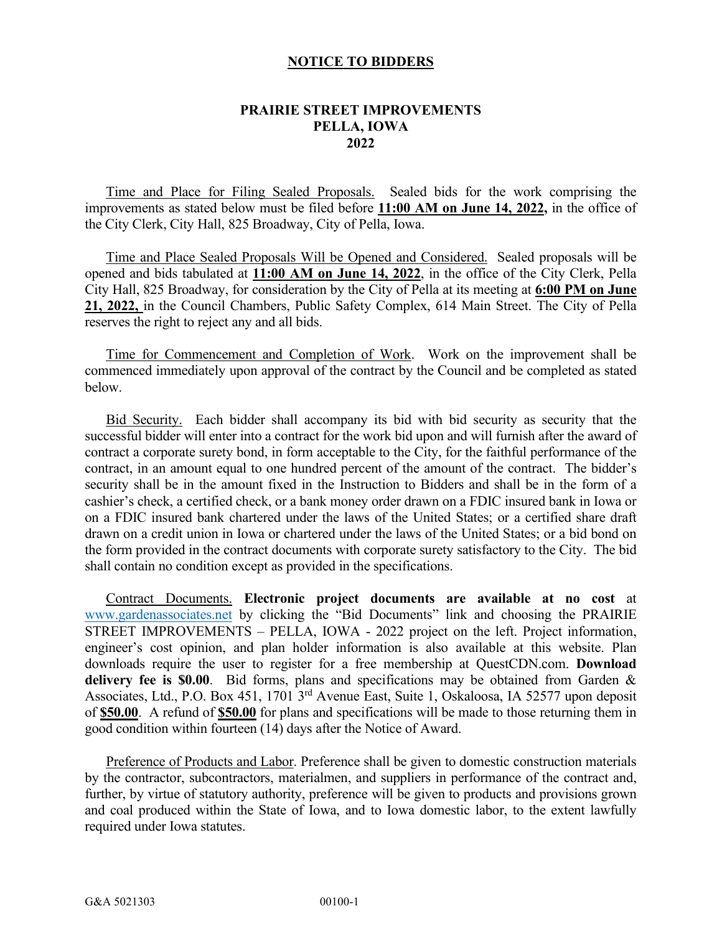## **NOTICE TO BIDDERS**

## **PRAIRIE STREET IMPROVEMENTS PELLA, IOWA 2022**

Time and Place for Filing Sealed Proposals. Sealed bids for the work comprising the improvements as stated below must be filed before **11:00 AM on June 14, 2022,** in the office of the City Clerk, City Hall, 825 Broadway, City of Pella, Iowa.

Time and Place Sealed Proposals Will be Opened and Considered. Sealed proposals will be opened and bids tabulated at **11:00 AM on June 14, 2022**, in the office of the City Clerk, Pella City Hall, 825 Broadway, for consideration by the City of Pella at its meeting at **6:00 PM on June 21, 2022,** in the Council Chambers, Public Safety Complex, 614 Main Street. The City of Pella reserves the right to reject any and all bids.

Time for Commencement and Completion of Work. Work on the improvement shall be commenced immediately upon approval of the contract by the Council and be completed as stated below.

 Bid Security. Each bidder shall accompany its bid with bid security as security that the successful bidder will enter into a contract for the work bid upon and will furnish after the award of contract a corporate surety bond, in form acceptable to the City, for the faithful performance of the contract, in an amount equal to one hundred percent of the amount of the contract. The bidder's security shall be in the amount fixed in the Instruction to Bidders and shall be in the form of a cashier's check, a certified check, or a bank money order drawn on a FDIC insured bank in Iowa or on a FDIC insured bank chartered under the laws of the United States; or a certified share draft drawn on a credit union in Iowa or chartered under the laws of the United States; or a bid bond on the form provided in the contract documents with corporate surety satisfactory to the City. The bid shall contain no condition except as provided in the specifications.

Contract Documents. **Electronic project documents are available at no cost** at [www.gardenassociates.net](http://www.gardenassociates.net/) by clicking the "Bid Documents" link and choosing the PRAIRIE STREET IMPROVEMENTS – PELLA, IOWA - 2022 project on the left. Project information, engineer's cost opinion, and plan holder information is also available at this website. Plan downloads require the user to register for a free membership at QuestCDN.com. **Download delivery fee is \$0.00**. Bid forms, plans and specifications may be obtained from Garden & Associates, Ltd., P.O. Box 451, 1701 3rd Avenue East, Suite 1, Oskaloosa, IA 52577 upon deposit of **\$50.00**. A refund of **\$50.00** for plans and specifications will be made to those returning them in good condition within fourteen (14) days after the Notice of Award.

Preference of Products and Labor. Preference shall be given to domestic construction materials by the contractor, subcontractors, materialmen, and suppliers in performance of the contract and, further, by virtue of statutory authority, preference will be given to products and provisions grown and coal produced within the State of Iowa, and to Iowa domestic labor, to the extent lawfully required under Iowa statutes.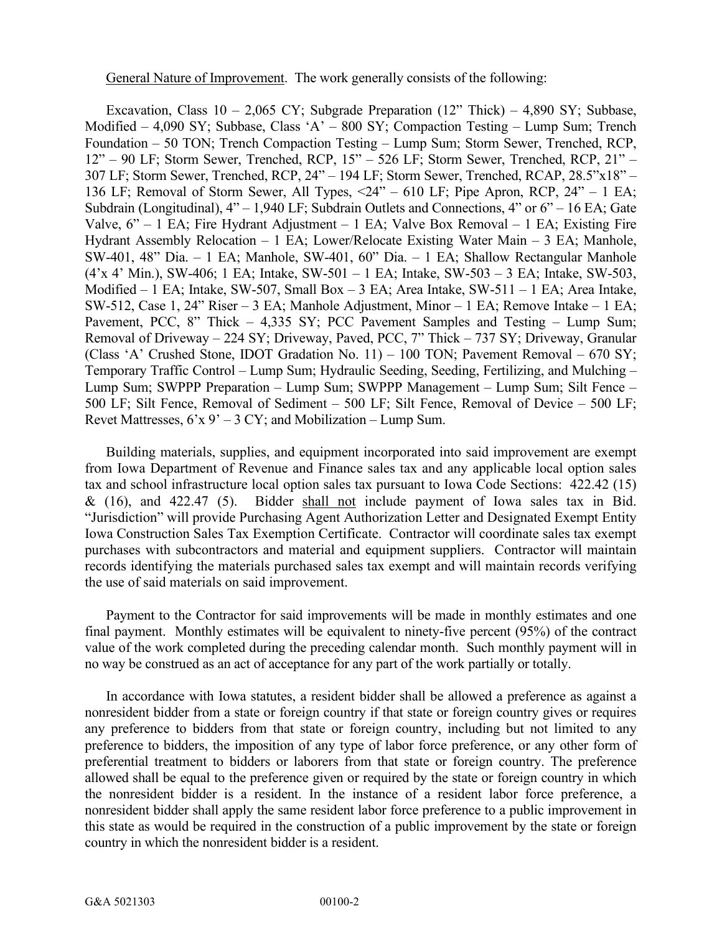General Nature of Improvement. The work generally consists of the following:

Excavation, Class  $10 - 2,065$  CY; Subgrade Preparation (12" Thick) – 4,890 SY; Subbase, Modified – 4,090 SY; Subbase, Class 'A' – 800 SY; Compaction Testing – Lump Sum; Trench Foundation – 50 TON; Trench Compaction Testing – Lump Sum; Storm Sewer, Trenched, RCP, 12" – 90 LF; Storm Sewer, Trenched, RCP, 15" – 526 LF; Storm Sewer, Trenched, RCP, 21" – 307 LF; Storm Sewer, Trenched, RCP, 24" – 194 LF; Storm Sewer, Trenched, RCAP, 28.5"x18" – 136 LF; Removal of Storm Sewer, All Types, <24" – 610 LF; Pipe Apron, RCP, 24" – 1 EA; Subdrain (Longitudinal), 4" – 1,940 LF; Subdrain Outlets and Connections, 4" or 6" – 16 EA; Gate Valve, 6" – 1 EA; Fire Hydrant Adjustment – 1 EA; Valve Box Removal – 1 EA; Existing Fire Hydrant Assembly Relocation – 1 EA; Lower/Relocate Existing Water Main – 3 EA; Manhole, SW-401, 48" Dia. – 1 EA; Manhole, SW-401, 60" Dia. – 1 EA; Shallow Rectangular Manhole (4'x 4' Min.), SW-406; 1 EA; Intake, SW-501 – 1 EA; Intake, SW-503 – 3 EA; Intake, SW-503, Modified – 1 EA; Intake, SW-507, Small Box – 3 EA; Area Intake, SW-511 – 1 EA; Area Intake, SW-512, Case 1, 24" Riser – 3 EA; Manhole Adjustment, Minor – 1 EA; Remove Intake – 1 EA; Pavement, PCC, 8" Thick – 4,335 SY; PCC Pavement Samples and Testing – Lump Sum; Removal of Driveway – 224 SY; Driveway, Paved, PCC, 7" Thick – 737 SY; Driveway, Granular (Class 'A' Crushed Stone, IDOT Gradation No. 11) – 100 TON; Pavement Removal – 670 SY; Temporary Traffic Control – Lump Sum; Hydraulic Seeding, Seeding, Fertilizing, and Mulching – Lump Sum; SWPPP Preparation – Lump Sum; SWPPP Management – Lump Sum; Silt Fence – 500 LF; Silt Fence, Removal of Sediment – 500 LF; Silt Fence, Removal of Device – 500 LF; Revet Mattresses,  $6x - 3CY$ ; and Mobilization – Lump Sum.

Building materials, supplies, and equipment incorporated into said improvement are exempt from Iowa Department of Revenue and Finance sales tax and any applicable local option sales tax and school infrastructure local option sales tax pursuant to Iowa Code Sections: 422.42 (15) & (16), and 422.47 (5). Bidder shall not include payment of Iowa sales tax in Bid. "Jurisdiction" will provide Purchasing Agent Authorization Letter and Designated Exempt Entity Iowa Construction Sales Tax Exemption Certificate. Contractor will coordinate sales tax exempt purchases with subcontractors and material and equipment suppliers. Contractor will maintain records identifying the materials purchased sales tax exempt and will maintain records verifying the use of said materials on said improvement.

Payment to the Contractor for said improvements will be made in monthly estimates and one final payment. Monthly estimates will be equivalent to ninety-five percent (95%) of the contract value of the work completed during the preceding calendar month. Such monthly payment will in no way be construed as an act of acceptance for any part of the work partially or totally.

In accordance with Iowa statutes, a resident bidder shall be allowed a preference as against a nonresident bidder from a state or foreign country if that state or foreign country gives or requires any preference to bidders from that state or foreign country, including but not limited to any preference to bidders, the imposition of any type of labor force preference, or any other form of preferential treatment to bidders or laborers from that state or foreign country. The preference allowed shall be equal to the preference given or required by the state or foreign country in which the nonresident bidder is a resident. In the instance of a resident labor force preference, a nonresident bidder shall apply the same resident labor force preference to a public improvement in this state as would be required in the construction of a public improvement by the state or foreign country in which the nonresident bidder is a resident.